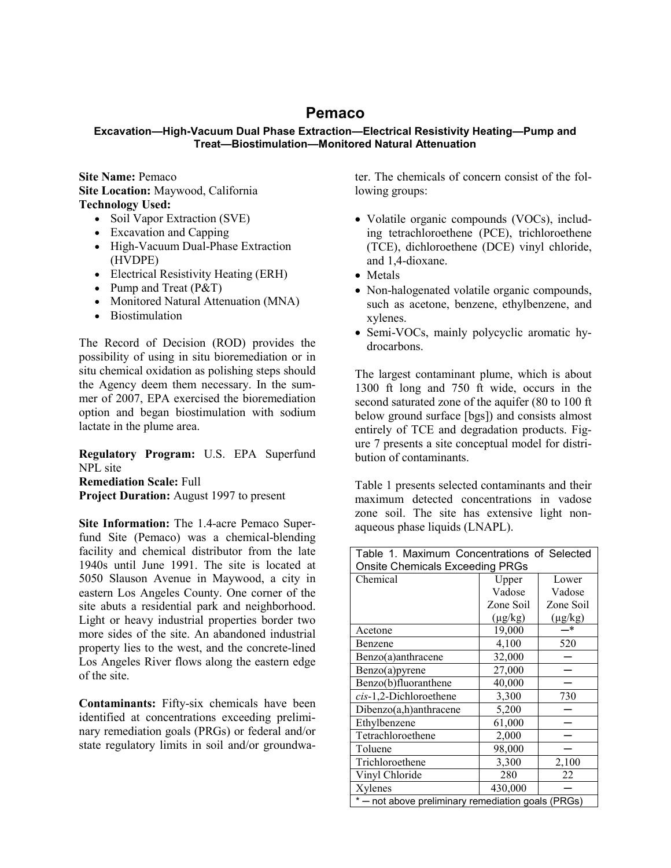## **Pemaco**

## **Excavation—High-Vacuum Dual Phase Extraction—Electrical Resistivity Heating—Pump and Treat—Biostimulation—Monitored Natural Attenuation**

**Site Name:** Pemaco **Site Location:** Maywood, California **Technology Used:** 

- Soil Vapor Extraction (SVE)
- Excavation and Capping
- High-Vacuum Dual-Phase Extraction (HVDPE)
- Electrical Resistivity Heating (ERH)
- Pump and Treat (P&T)
- Monitored Natural Attenuation (MNA)
- Biostimulation

The Record of Decision (ROD) provides the possibility of using in situ bioremediation or in situ chemical oxidation as polishing steps should the Agency deem them necessary. In the summer of 2007, EPA exercised the bioremediation option and began biostimulation with sodium lactate in the plume area.

**Regulatory Program:** U.S. EPA Superfund NPL site

**Remediation Scale:** Full **Project Duration:** August 1997 to present

**Site Information:** The 1.4-acre Pemaco Superfund Site (Pemaco) was a chemical-blending facility and chemical distributor from the late 1940s until June 1991. The site is located at 5050 Slauson Avenue in Maywood, a city in eastern Los Angeles County. One corner of the site abuts a residential park and neighborhood. Light or heavy industrial properties border two more sides of the site. An abandoned industrial property lies to the west, and the concrete-lined Los Angeles River flows along the eastern edge of the site.

**Contaminants:** Fifty-six chemicals have been identified at concentrations exceeding preliminary remediation goals (PRGs) or federal and/or state regulatory limits in soil and/or groundwater. The chemicals of concern consist of the following groups:

- Volatile organic compounds (VOCs), including tetrachloroethene (PCE), trichloroethene (TCE), dichloroethene (DCE) vinyl chloride, and 1,4-dioxane.
- Metals
- Non-halogenated volatile organic compounds, such as acetone, benzene, ethylbenzene, and xylenes.
- Semi-VOCs, mainly polycyclic aromatic hydrocarbons.

The largest contaminant plume, which is about 1300 ft long and 750 ft wide, occurs in the second saturated zone of the aquifer (80 to 100 ft below ground surface [bgs]) and consists almost entirely of TCE and degradation products. Figure 7 presents a site conceptual model for distribution of contaminants.

Table 1 presents selected contaminants and their maximum detected concentrations in vadose zone soil. The site has extensive light nonaqueous phase liquids (LNAPL).

| Table 1. Maximum Concentrations of Selected<br><b>Onsite Chemicals Exceeding PRGs</b> |              |              |  |
|---------------------------------------------------------------------------------------|--------------|--------------|--|
| Chemical                                                                              | Upper        | Lower        |  |
|                                                                                       | Vadose       | Vadose       |  |
|                                                                                       | Zone Soil    | Zone Soil    |  |
|                                                                                       | $(\mu g/kg)$ | $(\mu g/kg)$ |  |
| Acetone                                                                               | 19,000       | —*           |  |
| Benzene                                                                               | 4,100        | 520          |  |
| Benzo(a)anthracene                                                                    | 32,000       |              |  |
| Benzo(a)pyrene                                                                        | 27,000       |              |  |
| Benzo(b)fluoranthene                                                                  | 40,000       |              |  |
| cis-1,2-Dichloroethene                                                                | 3,300        | 730          |  |
| Dibenzo(a,h)anthracene                                                                | 5,200        |              |  |
| Ethylbenzene                                                                          | 61,000       |              |  |
| Tetrachloroethene                                                                     | 2,000        |              |  |
| Toluene                                                                               | 98,000       |              |  |
| Trichloroethene                                                                       | 3,300        | 2,100        |  |
| Vinyl Chloride                                                                        | 280          | 22           |  |
| Xylenes                                                                               | 430,000      |              |  |
| not above preliminary remediation goals (PRGs)                                        |              |              |  |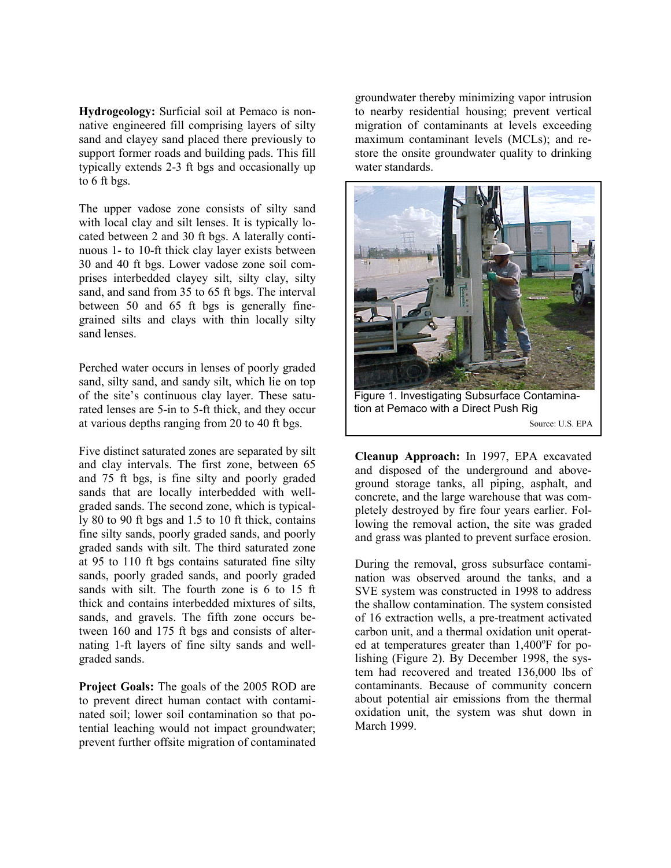**Hydrogeology:** Surficial soil at Pemaco is nonnative engineered fill comprising layers of silty sand and clayey sand placed there previously to support former roads and building pads. This fill typically extends 2-3 ft bgs and occasionally up to 6 ft bgs.

The upper vadose zone consists of silty sand with local clay and silt lenses. It is typically located between 2 and 30 ft bgs. A laterally continuous 1- to 10-ft thick clay layer exists between 30 and 40 ft bgs. Lower vadose zone soil comprises interbedded clayey silt, silty clay, silty sand, and sand from 35 to 65 ft bgs. The interval between 50 and 65 ft bgs is generally finegrained silts and clays with thin locally silty sand lenses.

Perched water occurs in lenses of poorly graded sand, silty sand, and sandy silt, which lie on top of the site's continuous clay layer. These saturated lenses are 5-in to 5-ft thick, and they occur at various depths ranging from 20 to 40 ft bgs.

Five distinct saturated zones are separated by silt and clay intervals. The first zone, between 65 and 75 ft bgs, is fine silty and poorly graded sands that are locally interbedded with wellgraded sands. The second zone, which is typically 80 to 90 ft bgs and 1.5 to 10 ft thick, contains fine silty sands, poorly graded sands, and poorly graded sands with silt. The third saturated zone at 95 to 110 ft bgs contains saturated fine silty sands, poorly graded sands, and poorly graded sands with silt. The fourth zone is 6 to 15 ft thick and contains interbedded mixtures of silts, sands, and gravels. The fifth zone occurs between 160 and 175 ft bgs and consists of alternating 1-ft layers of fine silty sands and wellgraded sands.

**Project Goals:** The goals of the 2005 ROD are to prevent direct human contact with contaminated soil; lower soil contamination so that potential leaching would not impact groundwater; prevent further offsite migration of contaminated

groundwater thereby minimizing vapor intrusion to nearby residential housing; prevent vertical migration of contaminants at levels exceeding maximum contaminant levels (MCLs); and restore the onsite groundwater quality to drinking water standards.



Source: U.S. EPA

**Cleanup Approach:** In 1997, EPA excavated and disposed of the underground and aboveground storage tanks, all piping, asphalt, and concrete, and the large warehouse that was completely destroyed by fire four years earlier. Following the removal action, the site was graded and grass was planted to prevent surface erosion.

During the removal, gross subsurface contamination was observed around the tanks, and a SVE system was constructed in 1998 to address the shallow contamination. The system consisted of 16 extraction wells, a pre-treatment activated carbon unit, and a thermal oxidation unit operated at temperatures greater than 1,400°F for polishing (Figure 2). By December 1998, the system had recovered and treated 136,000 lbs of contaminants. Because of community concern about potential air emissions from the thermal oxidation unit, the system was shut down in March 1999.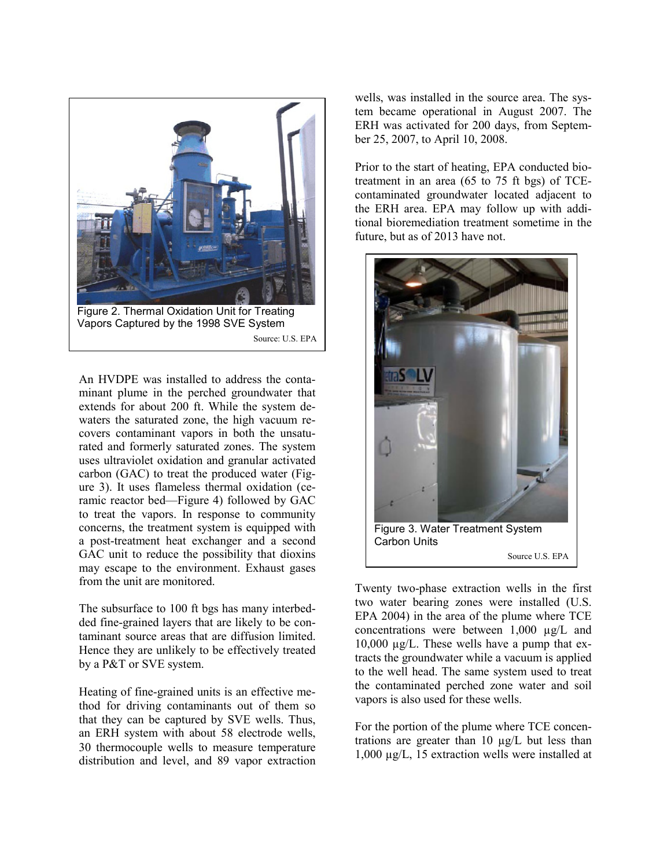

An HVDPE was installed to address the contaminant plume in the perched groundwater that extends for about 200 ft. While the system dewaters the saturated zone, the high vacuum recovers contaminant vapors in both the unsaturated and formerly saturated zones. The system uses ultraviolet oxidation and granular activated carbon (GAC) to treat the produced water (Figure 3). It uses flameless thermal oxidation (ceramic reactor bed—Figure 4) followed by GAC to treat the vapors. In response to community concerns, the treatment system is equipped with a post-treatment heat exchanger and a second GAC unit to reduce the possibility that dioxins may escape to the environment. Exhaust gases from the unit are monitored.

The subsurface to 100 ft bgs has many interbedded fine-grained layers that are likely to be contaminant source areas that are diffusion limited. Hence they are unlikely to be effectively treated by a P&T or SVE system.

Heating of fine-grained units is an effective method for driving contaminants out of them so that they can be captured by SVE wells. Thus, an ERH system with about 58 electrode wells, 30 thermocouple wells to measure temperature distribution and level, and 89 vapor extraction

wells, was installed in the source area. The system became operational in August 2007. The ERH was activated for 200 days, from September 25, 2007, to April 10, 2008.

Prior to the start of heating, EPA conducted biotreatment in an area (65 to 75 ft bgs) of TCEcontaminated groundwater located adjacent to the ERH area. EPA may follow up with additional bioremediation treatment sometime in the future, but as of 2013 have not.



Twenty two-phase extraction wells in the first two water bearing zones were installed (U.S. EPA 2004) in the area of the plume where TCE concentrations were between 1,000 µg/L and 10,000 µg/L. These wells have a pump that extracts the groundwater while a vacuum is applied to the well head. The same system used to treat the contaminated perched zone water and soil vapors is also used for these wells.

For the portion of the plume where TCE concentrations are greater than 10 µg/L but less than 1,000 µg/L, 15 extraction wells were installed at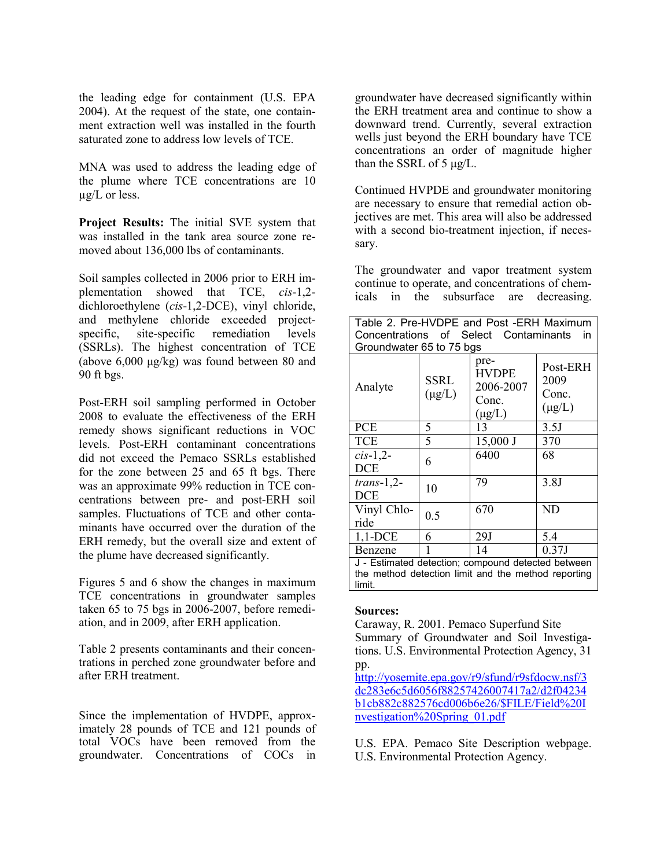the leading edge for containment (U.S. EPA 2004). At the request of the state, one containment extraction well was installed in the fourth saturated zone to address low levels of TCE.

MNA was used to address the leading edge of the plume where TCE concentrations are 10 µg/L or less.

**Project Results:** The initial SVE system that was installed in the tank area source zone removed about 136,000 lbs of contaminants.

Soil samples collected in 2006 prior to ERH implementation showed that TCE, *cis*-1,2 dichloroethylene (*cis*-1,2-DCE), vinyl chloride, and methylene chloride exceeded projectspecific, site-specific remediation levels (SSRLs). The highest concentration of TCE (above 6,000 μg/kg) was found between 80 and 90 ft bgs.

Post-ERH soil sampling performed in October 2008 to evaluate the effectiveness of the ERH remedy shows significant reductions in VOC levels. Post-ERH contaminant concentrations did not exceed the Pemaco SSRLs established for the zone between 25 and 65 ft bgs. There was an approximate 99% reduction in TCE concentrations between pre- and post-ERH soil samples. Fluctuations of TCE and other contaminants have occurred over the duration of the ERH remedy, but the overall size and extent of the plume have decreased significantly.

Figures 5 and 6 show the changes in maximum TCE concentrations in groundwater samples taken 65 to 75 bgs in 2006-2007, before remediation, and in 2009, after ERH application.

Table 2 presents contaminants and their concentrations in perched zone groundwater before and after ERH treatment.

Since the implementation of HVDPE, approximately 28 pounds of TCE and 121 pounds of total VOCs have been removed from the groundwater. Concentrations of COCs in

groundwater have decreased significantly within the ERH treatment area and continue to show a downward trend. Currently, several extraction wells just beyond the ERH boundary have TCE concentrations an order of magnitude higher than the SSRL of 5  $\mu$ g/L.

Continued HVPDE and groundwater monitoring are necessary to ensure that remedial action objectives are met. This area will also be addressed with a second bio-treatment injection, if necessary.

The groundwater and vapor treatment system continue to operate, and concentrations of chemicals in the subsurface are decreasing.

| Table 2. Pre-HVDPE and Post -ERH Maximum                                                                            |                     |                                                           |                                          |  |
|---------------------------------------------------------------------------------------------------------------------|---------------------|-----------------------------------------------------------|------------------------------------------|--|
| Concentrations of Select Contaminants<br>in<br>Groundwater 65 to 75 bgs                                             |                     |                                                           |                                          |  |
| Analyte                                                                                                             | SSRL<br>$(\mu g/L)$ | pre-<br><b>HVDPE</b><br>2006-2007<br>Conc.<br>$(\mu g/L)$ | Post-ERH<br>2009<br>Conc.<br>$(\mu g/L)$ |  |
| <b>PCE</b>                                                                                                          | 5                   | 13                                                        | 3.5J                                     |  |
| <b>TCE</b>                                                                                                          | 5                   | $15,000$ J                                                | 370                                      |  |
| $cis-1,2$ -<br><b>DCE</b>                                                                                           | 6                   | 6400                                                      | 68                                       |  |
| $trans-1,2$ -<br><b>DCE</b>                                                                                         | 10                  | 79                                                        | 3.8J                                     |  |
| Vinyl Chlo-<br>ride                                                                                                 | 0.5                 | 670                                                       | N <sub>D</sub>                           |  |
| $1,1$ -DCE                                                                                                          | 6                   | 29J                                                       | 5.4                                      |  |
| Benzene                                                                                                             |                     | 14                                                        | 0.37J                                    |  |
| J - Estimated detection; compound detected between<br>the method detection limit and the method reporting<br>limit. |                     |                                                           |                                          |  |

## **Sources:**

Caraway, R. 2001. Pemaco Superfund Site Summary of Groundwater and Soil Investigations. U.S. Environmental Protection Agency, 31 pp.

[http://yosemite.epa.gov/r9/sfund/r9sfdocw.nsf/3](http://yosemite.epa.gov/r9/sfund/r9sfdocw.nsf/3dc283e6c5d6056f88257426007417a2/d2f04234b1cb882c882576cd006b6e26/$FILE/Field%20Investigation%20Spring_01.pdf) [dc283e6c5d6056f88257426007417a2/d2f04234](http://yosemite.epa.gov/r9/sfund/r9sfdocw.nsf/3dc283e6c5d6056f88257426007417a2/d2f04234b1cb882c882576cd006b6e26/$FILE/Field%20Investigation%20Spring_01.pdf) [b1cb882c882576cd006b6e26/\\$FILE/Field%20I](http://yosemite.epa.gov/r9/sfund/r9sfdocw.nsf/3dc283e6c5d6056f88257426007417a2/d2f04234b1cb882c882576cd006b6e26/$FILE/Field%20Investigation%20Spring_01.pdf) [nvestigation%20Spring\\_01.pdf](http://yosemite.epa.gov/r9/sfund/r9sfdocw.nsf/3dc283e6c5d6056f88257426007417a2/d2f04234b1cb882c882576cd006b6e26/$FILE/Field%20Investigation%20Spring_01.pdf)

U.S. EPA. Pemaco Site Description webpage. U.S. Environmental Protection Agency.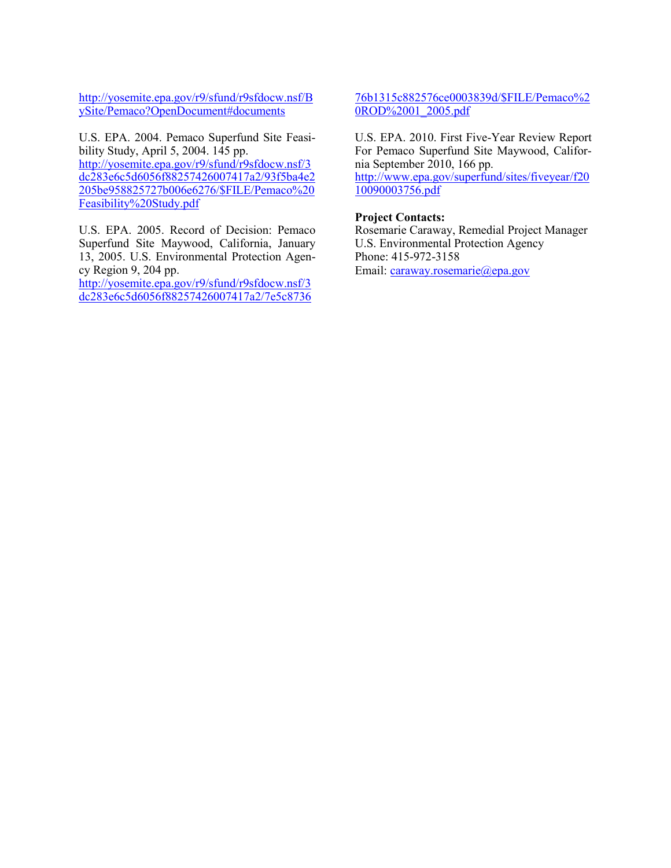[http://yosemite.epa.gov/r9/sfund/r9sfdocw.nsf/B](http://yosemite.epa.gov/r9/sfund/r9sfdocw.nsf/BySite/Pemaco?OpenDocument#documents) [ySite/Pemaco?OpenDocument#documents](http://yosemite.epa.gov/r9/sfund/r9sfdocw.nsf/BySite/Pemaco?OpenDocument#documents)

U.S. EPA. 2004. Pemaco Superfund Site Feasibility Study, April 5, 2004. 145 pp. [http://yosemite.epa.gov/r9/sfund/r9sfdocw.nsf/3](http://yosemite.epa.gov/r9/sfund/r9sfdocw.nsf/3dc283e6c5d6056f88257426007417a2/93f5ba4e2205be958825727b006e6276/$FILE/Pemaco%20Feasibility%20Study.pdf) [dc283e6c5d6056f88257426007417a2/93f5ba4e2](http://yosemite.epa.gov/r9/sfund/r9sfdocw.nsf/3dc283e6c5d6056f88257426007417a2/93f5ba4e2205be958825727b006e6276/$FILE/Pemaco%20Feasibility%20Study.pdf) [205be958825727b006e6276/\\$FILE/Pemaco%20](http://yosemite.epa.gov/r9/sfund/r9sfdocw.nsf/3dc283e6c5d6056f88257426007417a2/93f5ba4e2205be958825727b006e6276/$FILE/Pemaco%20Feasibility%20Study.pdf) [Feasibility%20Study.pdf](http://yosemite.epa.gov/r9/sfund/r9sfdocw.nsf/3dc283e6c5d6056f88257426007417a2/93f5ba4e2205be958825727b006e6276/$FILE/Pemaco%20Feasibility%20Study.pdf)

U.S. EPA. 2005. Record of Decision: Pemaco Superfund Site Maywood, California, January 13, 2005. U.S. Environmental Protection Agency Region 9, 204 pp.

[http://yosemite.epa.gov/r9/sfund/r9sfdocw.nsf/3](http://yosemite.epa.gov/r9/sfund/r9sfdocw.nsf/3dc283e6c5d6056f88257426007417a2/7e5c873676b1315c882576ce0003839d/$FILE/Pemaco%20ROD%2001_2005.pdf) [dc283e6c5d6056f88257426007417a2/7e5c8736](http://yosemite.epa.gov/r9/sfund/r9sfdocw.nsf/3dc283e6c5d6056f88257426007417a2/7e5c873676b1315c882576ce0003839d/$FILE/Pemaco%20ROD%2001_2005.pdf) [76b1315c882576ce0003839d/\\$FILE/Pemaco%2](http://yosemite.epa.gov/r9/sfund/r9sfdocw.nsf/3dc283e6c5d6056f88257426007417a2/7e5c873676b1315c882576ce0003839d/$FILE/Pemaco%20ROD%2001_2005.pdf) [0ROD%2001\\_2005.pdf](http://yosemite.epa.gov/r9/sfund/r9sfdocw.nsf/3dc283e6c5d6056f88257426007417a2/7e5c873676b1315c882576ce0003839d/$FILE/Pemaco%20ROD%2001_2005.pdf)

U.S. EPA. 2010. First Five-Year Review Report For Pemaco Superfund Site Maywood, California September 2010, 166 pp. [http://www.epa.gov/superfund/sites/fiveyear/f20](http://www.epa.gov/superfund/sites/fiveyear/f2010090003756.pdf)

[10090003756.pdf](http://www.epa.gov/superfund/sites/fiveyear/f2010090003756.pdf)

## **Project Contacts:**

Rosemarie Caraway, Remedial Project Manager U.S. Environmental Protection Agency Phone: 415-972-3158 Email: [caraway.rosemarie@epa.gov](mailto:caraway.rosemarie@epa.gov)